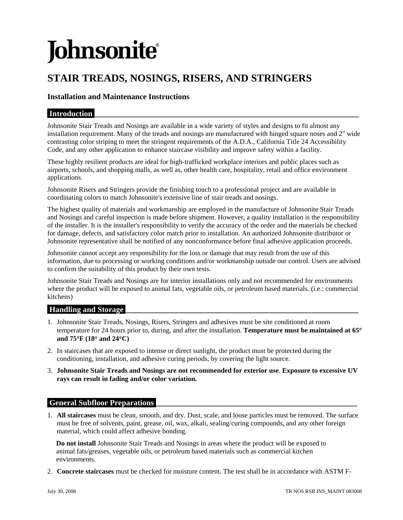# **Johnsonite**

# **STAIR TREADS, NOSINGS, RISERS, AND STRINGERS**

# **Installation and Maintenance Instructions**

# **Introduction**

Johnsonite Stair Treads and Nosings are available in a wide variety of styles and designs to fit almost any installation requirement. Many of the treads and nosings are manufactured with hinged square noses and 2" wide contrasting color striping to meet the stringent requirements of the A.D.A., California Title 24 Accessibility Code, and any other application to enhance staircase visibility and improve safety within a facility.

These highly resilient products are ideal for high-trafficked workplace interiors and public places such as airports, schools, and shopping malls, as well as, other health care, hospitality, retail and office environment applications.

Johnsonite Risers and Stringers provide the finishing touch to a professional project and are available in coordinating colors to match Johnsonite's extensive line of stair treads and nosings.

The highest quality of materials and workmanship are employed in the manufacture of Johnsonite Stair Treads and Nosings and careful inspection is made before shipment. However, a quality installation is the responsibility of the installer. It is the installer's responsibility to verify the accuracy of the order and the materials be checked for damage, defects, and satisfactory color match prior to installation. An authorized Johnsonite distributor or Johnsonite representative shall be notified of any nonconformance before final adhesive application proceeds.

Johnsonite cannot accept any responsibility for the loss or damage that may result from the use of this information, due to processing or working conditions and/or workmanship outside our control. Users are advised to confirm the suitability of this product by their own tests.

Johnsonite Stair Treads and Nosings are for interior installations only and not recommended for environments where the product will be exposed to animal fats, vegetable oils, or petroleum based materials. (i.e.: commercial kitchens)

#### **Handling and Storage**

- 1. Johnsonite Stair Treads, Nosings, Risers, Stringers and adhesives must be site conditioned at room temperature for 24 hours prior to, during, and after the installation. **Temperature must be maintained at 65**° **and 75**°**F (18**° **and 24**°**C)**
- 2. In staircases that are exposed to intense or direct sunlight, the product must be protected during the conditioning, installation, and adhesive curing periods, by covering the light source.
- 3. **Johnsonite Stair Treads and Nosings are not recommended for exterior use**. **Exposure to excessive UV rays can result in fading and/or color variation.**

# **General Subfloor Preparations**

1. **All staircases** must be clean, smooth, and dry. Dust, scale, and loose particles must be removed. The surface must be free of solvents, paint, grease, oil, wax, alkali, sealing/curing compounds, and any other foreign material, which could affect adhesive bonding.

**Do not install** Johnsonite Stair Treads and Nosings in areas where the product will be exposed to animal fats/greases, vegetable oils, or petroleum based materials such as commercial kitchen environments.

2. **Concrete staircases** must be checked for moisture content. The test shall be in accordance with ASTM F-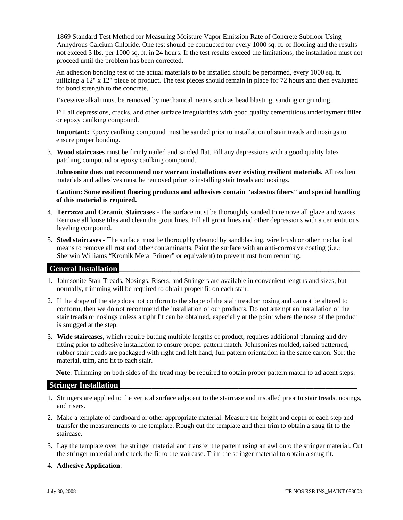1869 Standard Test Method for Measuring Moisture Vapor Emission Rate of Concrete Subfloor Using Anhydrous Calcium Chloride. One test should be conducted for every 1000 sq. ft. of flooring and the results not exceed 3 lbs. per 1000 sq. ft. in 24 hours. If the test results exceed the limitations, the installation must not proceed until the problem has been corrected.

An adhesion bonding test of the actual materials to be installed should be performed, every 1000 sq. ft. utilizing a 12" x 12" piece of product. The test pieces should remain in place for 72 hours and then evaluated for bond strength to the concrete.

Excessive alkali must be removed by mechanical means such as bead blasting, sanding or grinding.

Fill all depressions, cracks, and other surface irregularities with good quality cementitious underlayment filler or epoxy caulking compound.

**Important:** Epoxy caulking compound must be sanded prior to installation of stair treads and nosings to ensure proper bonding.

3. **Wood staircases** must be firmly nailed and sanded flat. Fill any depressions with a good quality latex patching compound or epoxy caulking compound.

**Johnsonite does not recommend nor warrant installations over existing resilient materials.** All resilient materials and adhesives must be removed prior to installing stair treads and nosings.

**Caution: Some resilient flooring products and adhesives contain "asbestos fibers" and special handling of this material is required.** 

- 4. **Terrazzo and Ceramic Staircases** The surface must be thoroughly sanded to remove all glaze and waxes. Remove all loose tiles and clean the grout lines. Fill all grout lines and other depressions with a cementitious leveling compound.
- 5. **Steel staircases** The surface must be thoroughly cleaned by sandblasting, wire brush or other mechanical means to remove all rust and other contaminants. Paint the surface with an anti-corrosive coating (i.e.: Sherwin Williams "Kromik Metal Primer" or equivalent) to prevent rust from recurring.

# **General Installation \_\_\_\_\_\_\_\_\_\_\_\_\_\_\_\_\_\_\_\_\_\_\_\_\_\_\_\_\_\_\_\_\_\_\_\_\_\_\_\_\_\_\_\_\_\_\_\_\_\_\_\_\_\_\_\_\_\_\_\_\_**

- 1. Johnsonite Stair Treads, Nosings, Risers, and Stringers are available in convenient lengths and sizes, but normally, trimming will be required to obtain proper fit on each stair.
- 2. If the shape of the step does not conform to the shape of the stair tread or nosing and cannot be altered to conform, then we do not recommend the installation of our products. Do not attempt an installation of the stair treads or nosings unless a tight fit can be obtained, especially at the point where the nose of the product is snugged at the step.
- 3. **Wide staircases**, which require butting multiple lengths of product, requires additional planning and dry fitting prior to adhesive installation to ensure proper pattern match. Johnsonites molded, raised patterned, rubber stair treads are packaged with right and left hand, full pattern orientation in the same carton. Sort the material, trim, and fit to each stair.

**Note**: Trimming on both sides of the tread may be required to obtain proper pattern match to adjacent steps.

#### **Stringer Installation**

- 1. Stringers are applied to the vertical surface adjacent to the staircase and installed prior to stair treads, nosings, and risers.
- 2. Make a template of cardboard or other appropriate material. Measure the height and depth of each step and transfer the measurements to the template. Rough cut the template and then trim to obtain a snug fit to the staircase.
- 3. Lay the template over the stringer material and transfer the pattern using an awl onto the stringer material. Cut the stringer material and check the fit to the staircase. Trim the stringer material to obtain a snug fit.
- 4. **Adhesive Application**: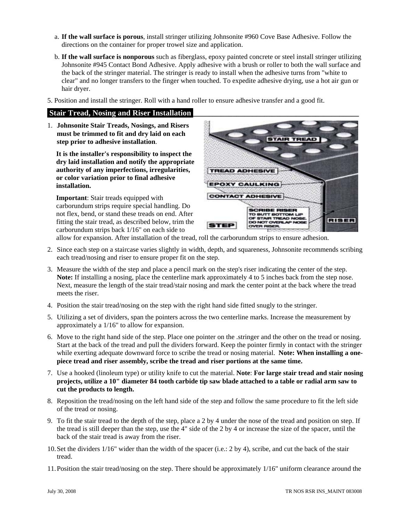- a. **If the wall surface is porous**, install stringer utilizing Johnsonite #960 Cove Base Adhesive. Follow the directions on the container for proper trowel size and application.
- b. **If the wall surface is nonporous** such as fiberglass, epoxy painted concrete or steel install stringer utilizing Johnsonite #945 Contact Bond Adhesive. Apply adhesive with a brush or roller to both the wall surface and the back of the stringer material. The stringer is ready to install when the adhesive turns from "white to clear" and no longer transfers to the finger when touched. To expedite adhesive drying, use a hot air gun or hair dryer.
- 5. Position and install the stringer. Roll with a hand roller to ensure adhesive transfer and a good fit.

#### **Stair Tread, Nosing and Riser Installation**

1. **Johnsonite Stair Treads, Nosings, and Risers must be trimmed to fit and dry laid on each step prior to adhesive installation**.

**It is the installer's responsibility to inspect the dry laid installation and notify the appropriate authority of any imperfections, irregularities, or color variation prior to final adhesive installation.** 

**Important**: Stair treads equipped with carborundum strips require special handling. Do not flex, bend, or stand these treads on end. After fitting the stair tread, as described below, trim the carborundum strips back 1/16" on each side to



allow for expansion. After installation of the tread, roll the carborundum strips to ensure adhesion.

- 2. Since each step on a staircase varies slightly in width, depth, and squareness, Johnsonite recommends scribing each tread/nosing and riser to ensure proper fit on the step.
- 3. Measure the width of the step and place a pencil mark on the step's riser indicating the center of the step. **Note:** If installing a nosing, place the centerline mark approximately 4 to 5 inches back from the step nose. Next, measure the length of the stair tread/stair nosing and mark the center point at the back where the tread meets the riser.
- 4. Position the stair tread/nosing on the step with the right hand side fitted snugly to the stringer.
- 5. Utilizing a set of dividers, span the pointers across the two centerline marks. Increase the measurement by approximately a 1/16" to allow for expansion.
- 6. Move to the right hand side of the step. Place one pointer on the .stringer and the other on the tread or nosing. Start at the back of the tread and pull the dividers forward. Keep the pointer firmly in contact with the stringer while exerting adequate downward force to scribe the tread or nosing material. **Note: When installing a onepiece tread and riser assembly, scribe the tread and riser portions at the same time.**
- 7. Use a hooked (linoleum type) or utility knife to cut the material. **Note**: **For large stair tread and stair nosing projects, utilize a 10" diameter 84 tooth carbide tip saw blade attached to a table or radial arm saw to cut the products to length.**
- 8. Reposition the tread/nosing on the left hand side of the step and follow the same procedure to fit the left side of the tread or nosing.
- 9. To fit the stair tread to the depth of the step, place a 2 by 4 under the nose of the tread and position on step. If the tread is still deeper than the step, use the 4" side of the 2 by 4 or increase the size of the spacer, until the back of the stair tread is away from the riser.
- 10.Set the dividers 1/16" wider than the width of the spacer (i.e.: 2 by 4), scribe, and cut the back of the stair tread.
- 11.Position the stair tread/nosing on the step. There should be approximately 1/16" uniform clearance around the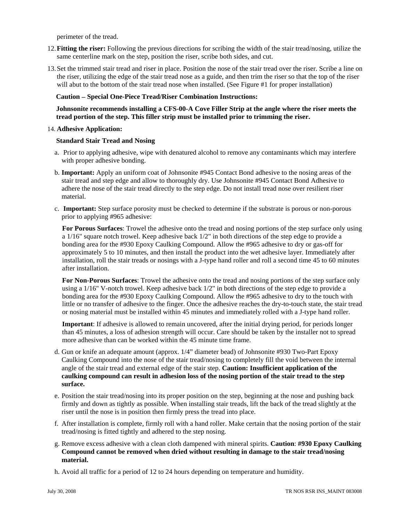perimeter of the tread.

- 12.**Fitting the riser:** Following the previous directions for scribing the width of the stair tread/nosing, utilize the same centerline mark on the step, position the riser, scribe both sides, and cut.
- 13.Set the trimmed stair tread and riser in place. Position the nose of the stair tread over the riser. Scribe a line on the riser, utilizing the edge of the stair tread nose as a guide, and then trim the riser so that the top of the riser will abut to the bottom of the stair tread nose when installed. (See Figure #1 for proper installation)

#### **Caution** − **Special One-Piece Tread/Riser Combination Instructions:**

#### **Johnsonite recommends installing a CFS-00-A Cove Filler Strip at the angle where the riser meets the tread portion of the step. This filler strip must be installed prior to trimming the riser.**

14. **Adhesive Application:** 

#### **Standard Stair Tread and Nosing**

- a. Prior to applying adhesive, wipe with denatured alcohol to remove any contaminants which may interfere with proper adhesive bonding.
- b. **Important:** Apply an uniform coat of Johnsonite #945 Contact Bond adhesive to the nosing areas of the stair tread and step edge and allow to thoroughly dry. Use Johnsonite #945 Contact Bond Adhesive to adhere the nose of the stair tread directly to the step edge. Do not install tread nose over resilient riser material.
- c. **Important:** Step surface porosity must be checked to determine if the substrate is porous or non-porous prior to applying #965 adhesive:

**For Porous Surfaces**: Trowel the adhesive onto the tread and nosing portions of the step surface only using a 1/16" square notch trowel. Keep adhesive back 1/2" in both directions of the step edge to provide a bonding area for the #930 Epoxy Caulking Compound. Allow the #965 adhesive to dry or gas-off for approximately 5 to 10 minutes, and then install the product into the wet adhesive layer. Immediately after installation, roll the stair treads or nosings with a J-type hand roller and roll a second time 45 to 60 minutes after installation.

**For Non-Porous Surfaces**: Trowel the adhesive onto the tread and nosing portions of the step surface only using a 1/16" V-notch trowel. Keep adhesive back 1/2" in both directions of the step edge to provide a bonding area for the #930 Epoxy Caulking Compound. Allow the #965 adhesive to dry to the touch with little or no transfer of adhesive to the finger. Once the adhesive reaches the dry-to-touch state, the stair tread or nosing material must be installed within 45 minutes and immediately rolled with a J-type hand roller.

**Important**: If adhesive is allowed to remain uncovered, after the initial drying period, for periods longer than 45 minutes, a loss of adhesion strength will occur. Care should be taken by the installer not to spread more adhesive than can be worked within the 45 minute time frame.

- d. Gun or knife an adequate amount (approx. 1/4" diameter bead) of Johnsonite #930 Two-Part Epoxy Caulking Compound into the nose of the stair tread/nosing to completely fill the void between the internal angle of the stair tread and external edge of the stair step. **Caution: Insufficient application of the caulking compound can result in adhesion loss of the nosing portion of the stair tread to the step surface.**
- e. Position the stair tread/nosing into its proper position on the step, beginning at the nose and pushing back firmly and down as tightly as possible. When installing stair treads, lift the back of the tread slightly at the riser until the nose is in position then firmly press the tread into place.
- f. After installation is complete, firmly roll with a hand roller. Make certain that the nosing portion of the stair tread/nosing is fitted tightly and adhered to the step nosing.
- g. Remove excess adhesive with a clean cloth dampened with mineral spirits. **Caution**: **#930 Epoxy Caulking Compound cannot be removed when dried without resulting in damage to the stair tread/nosing material.**
- h. Avoid all traffic for a period of 12 to 24 hours depending on temperature and humidity.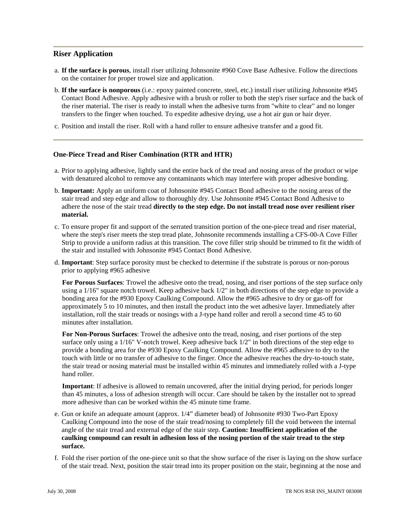### **Riser Application**

- a. **If the surface is porous**, install riser utilizing Johnsonite #960 Cove Base Adhesive. Follow the directions on the container for proper trowel size and application.
- b. **If the surface is nonporous** (i.e.: epoxy painted concrete, steel, etc.) install riser utilizing Johnsonite #945 Contact Bond Adhesive. Apply adhesive with a brush or roller to both the step's riser surface and the back of the riser material. The riser is ready to install when the adhesive turns from "white to clear" and no longer transfers to the finger when touched. To expedite adhesive drying, use a hot air gun or hair dryer.
- c. Position and install the riser. Roll with a hand roller to ensure adhesive transfer and a good fit.

#### **One-Piece Tread and Riser Combination (RTR and HTR)**

- a. Prior to applying adhesive, lightly sand the entire back of the tread and nosing areas of the product or wipe with denatured alcohol to remove any contaminants which may interfere with proper adhesive bonding.
- b. **Important:** Apply an uniform coat of Johnsonite #945 Contact Bond adhesive to the nosing areas of the stair tread and step edge and allow to thoroughly dry. Use Johnsonite #945 Contact Bond Adhesive to adhere the nose of the stair tread **directly to the step edge. Do not install tread nose over resilient riser material.**
- c. To ensure proper fit and support of the serrated transition portion of the one-piece tread and riser material, where the step's riser meets the step tread plate, Johnsonite recommends installing a CFS-00-A Cove Filler Strip to provide a uniform radius at this transition. The cove filler strip should be trimmed to fit the width of the stair and installed with Johnsonite #945 Contact Bond Adhesive.
- d. **Important**: Step surface porosity must be checked to determine if the substrate is porous or non-porous prior to applying #965 adhesive

**For Porous Surfaces**: Trowel the adhesive onto the tread, nosing, and riser portions of the step surface only using a 1/16" square notch trowel. Keep adhesive back 1/2" in both directions of the step edge to provide a bonding area for the #930 Epoxy Caulking Compound. Allow the #965 adhesive to dry or gas-off for approximately 5 to 10 minutes, and then install the product into the wet adhesive layer. Immediately after installation, roll the stair treads or nosings with a J-type hand roller and reroll a second time 45 to 60 minutes after installation.

**For Non-Porous Surfaces**: Trowel the adhesive onto the tread, nosing, and riser portions of the step surface only using a 1/16" V-notch trowel. Keep adhesive back 1/2" in both directions of the step edge to provide a bonding area for the #930 Epoxy Caulking Compound. Allow the #965 adhesive to dry to the touch with little or no transfer of adhesive to the finger. Once the adhesive reaches the dry-to-touch state, the stair tread or nosing material must be installed within 45 minutes and immediately rolled with a J-type hand roller.

**Important**: If adhesive is allowed to remain uncovered, after the initial drying period, for periods longer than 45 minutes, a loss of adhesion strength will occur. Care should be taken by the installer not to spread more adhesive than can be worked within the 45 minute time frame.

- e. Gun or knife an adequate amount (approx. 1/4" diameter bead) of Johnsonite #930 Two-Part Epoxy Caulking Compound into the nose of the stair tread/nosing to completely fill the void between the internal angle of the stair tread and external edge of the stair step. **Caution: Insufficient application of the caulking compound can result in adhesion loss of the nosing portion of the stair tread to the step surface.**
- f. Fold the riser portion of the one-piece unit so that the show surface of the riser is laying on the show surface of the stair tread. Next, position the stair tread into its proper position on the stair, beginning at the nose and